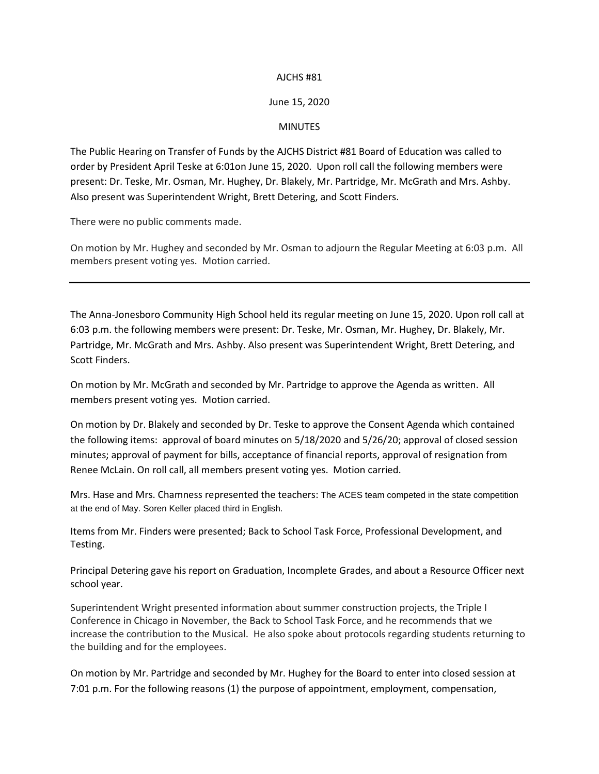## AJCHS #81

## June 15, 2020

## MINUTES

The Public Hearing on Transfer of Funds by the AJCHS District #81 Board of Education was called to order by President April Teske at 6:01on June 15, 2020. Upon roll call the following members were present: Dr. Teske, Mr. Osman, Mr. Hughey, Dr. Blakely, Mr. Partridge, Mr. McGrath and Mrs. Ashby. Also present was Superintendent Wright, Brett Detering, and Scott Finders.

There were no public comments made.

On motion by Mr. Hughey and seconded by Mr. Osman to adjourn the Regular Meeting at 6:03 p.m. All members present voting yes. Motion carried.

The Anna-Jonesboro Community High School held its regular meeting on June 15, 2020. Upon roll call at 6:03 p.m. the following members were present: Dr. Teske, Mr. Osman, Mr. Hughey, Dr. Blakely, Mr. Partridge, Mr. McGrath and Mrs. Ashby. Also present was Superintendent Wright, Brett Detering, and Scott Finders.

On motion by Mr. McGrath and seconded by Mr. Partridge to approve the Agenda as written. All members present voting yes. Motion carried.

On motion by Dr. Blakely and seconded by Dr. Teske to approve the Consent Agenda which contained the following items: approval of board minutes on 5/18/2020 and 5/26/20; approval of closed session minutes; approval of payment for bills, acceptance of financial reports, approval of resignation from Renee McLain. On roll call, all members present voting yes. Motion carried.

Mrs. Hase and Mrs. Chamness represented the teachers: The ACES team competed in the state competition at the end of May. Soren Keller placed third in English.

Items from Mr. Finders were presented; Back to School Task Force, Professional Development, and Testing.

Principal Detering gave his report on Graduation, Incomplete Grades, and about a Resource Officer next school year.

Superintendent Wright presented information about summer construction projects, the Triple I Conference in Chicago in November, the Back to School Task Force, and he recommends that we increase the contribution to the Musical. He also spoke about protocols regarding students returning to the building and for the employees.

On motion by Mr. Partridge and seconded by Mr. Hughey for the Board to enter into closed session at 7:01 p.m. For the following reasons (1) the purpose of appointment, employment, compensation,